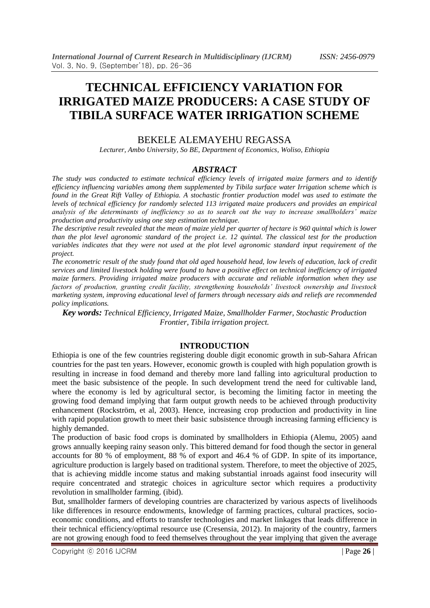# **TECHNICAL EFFICIENCY VARIATION FOR IRRIGATED MAIZE PRODUCERS: A CASE STUDY OF TIBILA SURFACE WATER IRRIGATION SCHEME**

#### BEKELE ALEMAYEHU REGASSA

*Lecturer, Ambo University, So BE, Department of Economics, Woliso, Ethiopia*

#### *ABSTRACT*

*The study was conducted to estimate technical efficiency levels of irrigated maize farmers and to identify efficiency influencing variables among them supplemented by Tibila surface water Irrigation scheme which is found in the Great Rift Valley of Ethiopia. A stochastic frontier production model was used to estimate the levels of technical efficiency for randomly selected 113 irrigated maize producers and provides an empirical analysis of the determinants of inefficiency so as to search out the way to increase smallholders' maize production and productivity using one step estimation technique.* 

*The descriptive result revealed that the mean of maize yield per quarter of hectare is 960 quintal which is lower than the plot level agronomic standard of the project i.e. 12 quintal. The classical test for the production variables indicates that they were not used at the plot level agronomic standard input requirement of the project.* 

*The econometric result of the study found that old aged household head, low levels of education, lack of credit services and limited livestock holding were found to have a positive effect on technical inefficiency of irrigated maize farmers. Providing irrigated maize producers with accurate and reliable information when they use factors of production, granting credit facility, strengthening households' livestock ownership and livestock marketing system, improving educational level of farmers through necessary aids and reliefs are recommended policy implications.*

*Key words: Technical Efficiency, Irrigated Maize, Smallholder Farmer, Stochastic Production Frontier, Tibila irrigation project.*

#### **INTRODUCTION**

Ethiopia is one of the few countries registering double digit economic growth in sub-Sahara African countries for the past ten years. However, economic growth is coupled with high population growth is resulting in increase in food demand and thereby more land falling into agricultural production to meet the basic subsistence of the people. In such development trend the need for cultivable land, where the economy is led by agricultural sector, is becoming the limiting factor in meeting the growing food demand implying that farm output growth needs to be achieved through productivity enhancement (Rockström, et al, 2003). Hence, increasing crop production and productivity in line with rapid population growth to meet their basic subsistence through increasing farming efficiency is highly demanded.

The production of basic food crops is dominated by smallholders in Ethiopia (Alemu, 2005) aand grows annually keeping rainy season only. This bittered demand for food though the sector in general accounts for 80 % of employment, 88 % of export and 46.4 % of GDP. In spite of its importance, agriculture production is largely based on traditional system. Therefore, to meet the objective of 2025, that is achieving middle income status and making substantial inroads against food insecurity will require concentrated and strategic choices in agriculture sector which requires a productivity revolution in smallholder farming. (ibid).

But, smallholder farmers of developing countries are characterized by various aspects of livelihoods like differences in resource endowments, knowledge of farming practices, cultural practices, socioeconomic conditions, and efforts to transfer technologies and market linkages that leads difference in their technical efficiency/optimal resource use (Cresensia, 2012). In majority of the country, farmers are not growing enough food to feed themselves throughout the year implying that given the average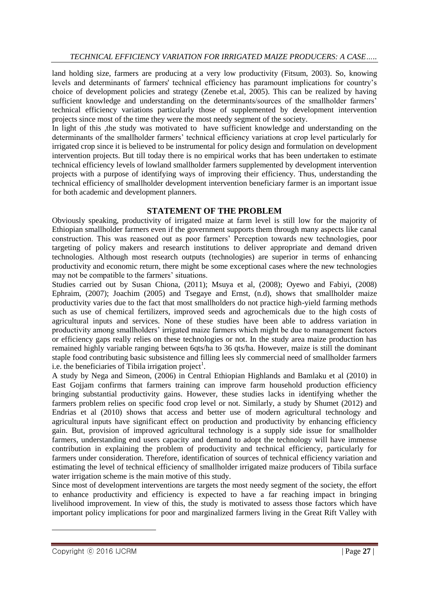land holding size, farmers are producing at a very low productivity (Fitsum, 2003). So, knowing levels and determinants of farmers' technical efficiency has paramount implications for country"s choice of development policies and strategy (Zenebe et.al, 2005). This can be realized by having sufficient knowledge and understanding on the determinants/sources of the smallholder farmers' technical efficiency variations particularly those of supplemented by development intervention projects since most of the time they were the most needy segment of the society.

In light of this ,the study was motivated to have sufficient knowledge and understanding on the determinants of the smallholder farmers' technical efficiency variations at crop level particularly for irrigated crop since it is believed to be instrumental for policy design and formulation on development intervention projects. But till today there is no empirical works that has been undertaken to estimate technical efficiency levels of lowland smallholder farmers supplemented by development intervention projects with a purpose of identifying ways of improving their efficiency. Thus, understanding the technical efficiency of smallholder development intervention beneficiary farmer is an important issue for both academic and development planners.

## **STATEMENT OF THE PROBLEM**

Obviously speaking, productivity of irrigated maize at farm level is still low for the majority of Ethiopian smallholder farmers even if the government supports them through many aspects like canal construction. This was reasoned out as poor farmers" Perception towards new technologies, poor targeting of policy makers and research institutions to deliver appropriate and demand driven technologies. Although most research outputs (technologies) are superior in terms of enhancing productivity and economic return, there might be some exceptional cases where the new technologies may not be compatible to the farmers' situations.

Studies carried out by Susan Chiona, (2011); Msuya et al, (2008); Oyewo and Fabiyi, (2008) Ephraim, (2007); Joachim (2005) and Tsegaye and Ernst, (n.d), shows that smallholder maize productivity varies due to the fact that most smallholders do not practice high-yield farming methods such as use of chemical fertilizers, improved seeds and agrochemicals due to the high costs of agricultural inputs and services. None of these studies have been able to address variation in productivity among smallholders" irrigated maize farmers which might be due to management factors or efficiency gaps really relies on these technologies or not. In the study area maize production has remained highly variable ranging between 6qts/ha to 36 qts/ha. However, maize is still the dominant staple food contributing basic subsistence and filling lees sly commercial need of smallholder farmers i.e. the beneficiaries of Tibila irrigation project<sup>1</sup>.

A study by Nega and Simeon, (2006) in Central Ethiopian Highlands and Bamlaku et al (2010) in East Gojjam confirms that farmers training can improve farm household production efficiency bringing substantial productivity gains. However, these studies lacks in identifying whether the farmers problem relies on specific food crop level or not. Similarly, a study by Shumet (2012) and Endrias et al (2010) shows that access and better use of modern agricultural technology and agricultural inputs have significant effect on production and productivity by enhancing efficiency gain. But, provision of improved agricultural technology is a supply side issue for smallholder farmers, understanding end users capacity and demand to adopt the technology will have immense contribution in explaining the problem of productivity and technical efficiency, particularly for farmers under consideration. Therefore, identification of sources of technical efficiency variation and estimating the level of technical efficiency of smallholder irrigated maize producers of Tibila surface water irrigation scheme is the main motive of this study.

Since most of development interventions are targets the most needy segment of the society, the effort to enhance productivity and efficiency is expected to have a far reaching impact in bringing livelihood improvement. In view of this, the study is motivated to assess those factors which have important policy implications for poor and marginalized farmers living in the Great Rift Valley with

<u>.</u>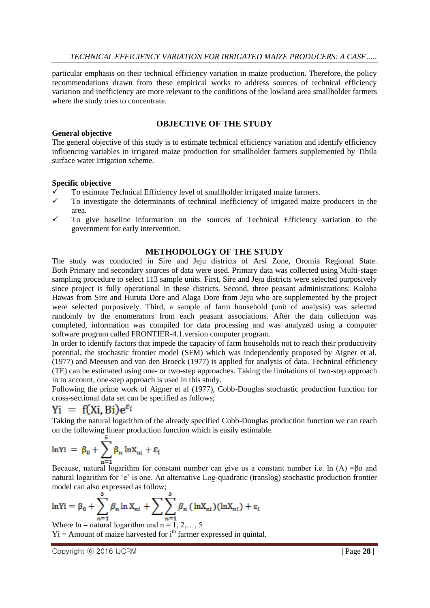particular emphasis on their technical efficiency variation in maize production. Therefore, the policy recommendations drawn from these empirical works to address sources of technical efficiency variation and inefficiency are more relevant to the conditions of the lowland area smallholder farmers where the study tries to concentrate.

## **OBJECTIVE OF THE STUDY**

#### **General objective**

The general objective of this study is to estimate technical efficiency variation and identify efficiency influencing variables in irrigated maize production for smallholder farmers supplemented by Tibila surface water Irrigation scheme.

#### **Specific objective**

- To estimate Technical Efficiency level of smallholder irrigated maize farmers.
- To investigate the determinants of technical inefficiency of irrigated maize producers in the area.
- $\checkmark$  To give baseline information on the sources of Technical Efficiency variation to the government for early intervention.

#### **METHODOLOGY OF THE STUDY**

The study was conducted in Sire and Jeju districts of Arsi Zone, Oromia Regional State. Both Primary and secondary sources of data were used. Primary data was collected using Multi-stage sampling procedure to select 113 sample units. First, Sire and Jeju districts were selected purposively since project is fully operational in these districts. Second, three peasant administrations: Koloba Hawas from Sire and Huruta Dore and Alaga Dore from Jeju who are supplemented by the project were selected purposively. Third, a sample of farm household (unit of analysis) was selected randomly by the enumerators from each peasant associations. After the data collection was completed, information was compiled for data processing and was analyzed using a computer software program called FRONTIER-4.1.version computer program.

In order to identify factors that impede the capacity of farm households not to reach their productivity potential, the stochastic frontier model (SFM) which was independently proposed by Aigner et al. (1977) and Meeusen and van den Broeck (1977) is applied for analysis of data. Technical efficiency (TE) can be estimated using one- or two-step approaches. Taking the limitations of two-step approach in to account, one-step approach is used in this study.

Following the prime work of Aigner et al (1977), Cobb-Douglas stochastic production function for cross-sectional data set can be specified as follows;

## $\overline{Y}$  = f(Xi, Bi) $e^{\varepsilon_i}$

Taking the natural logarithm of the already specified Cobb-Douglas production function we can reach on the following linear production function which is easily estimable.

$$
\ln Yi = \beta_0 + \sum_{n=1}^{5} \beta_n \ln X_{ni} + \epsilon_i
$$

Because, natural logarithm for constant number can give us a constant number i.e. ln (A) =βo and natural logarithm for 'e' is one. An alternative Log-quadratic (translog) stochastic production frontier model can also expressed as follow;

$$
\ln Yi = \beta_0 + \sum_{n=1}^{5} \beta_n \ln X_{ni} + \sum_{n=1}^{5} \beta_n (\ln X_{ni})(\ln X_{ni}) + \varepsilon_i
$$

Where  $ln =$  natural logarithm and  $n = 1, 2, \ldots, 5$  $Y_i$  = Amount of maize harvested for  $i<sup>th</sup>$  farmer expressed in quintal.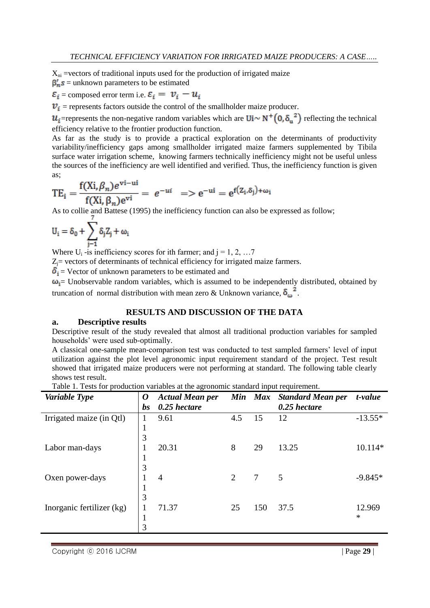$X_{ni}$  =vectors of traditional inputs used for the production of irrigated maize

 $\beta'_n s$  = unknown parameters to be estimated

 $\varepsilon_i$  = composed error term i.e.  $\varepsilon_i = v_i - u_i$ 

 $v_i$  = represents factors outside the control of the smallholder maize producer.

 $u_i$ =represents the non-negative random variables which are  $\text{Ui} \sim \text{N}^+ \left(0, \delta_u^2\right)$  reflecting the technical efficiency relative to the frontier production function.

As far as the study is to provide a practical exploration on the determinants of productivity variability/inefficiency gaps among smallholder irrigated maize farmers supplemented by Tibila surface water irrigation scheme, knowing farmers technically inefficiency might not be useful unless the sources of the inefficiency are well identified and verified. Thus, the inefficiency function is given as;

$$
TE_i = \frac{f(Xi, \beta_n)e^{vi-ui}}{f(Xi, \beta_n)e^{vi}} = e^{-ui} \implies e^{-ui} = e^{f(Z_i, \delta_j) + \omega_i}
$$

As to collie and Battese (1995) the inefficiency function can also be expressed as follow;

$$
U_i=\delta_0+\sum_{j-1}\delta_jZ_j+\omega_i
$$

Where  $U_i$  -is inefficiency scores for ith farmer; and  $j = 1, 2, \ldots 7$ 

 $Z_i$ = vectors of determinants of technical efficiency for irrigated maize farmers.

 $\delta_i$  = Vector of unknown parameters to be estimated and

 $\omega_i$  Unobservable random variables, which is assumed to be independently distributed, obtained by truncation of normal distribution with mean zero & Unknown variance,  $\delta_{\alpha}^2$ .

## **RESULTS AND DISCUSSION OF THE DATA**

#### **a. Descriptive results**

Descriptive result of the study revealed that almost all traditional production variables for sampled households" were used sub-optimally.

A classical one-sample mean-comparison test was conducted to test sampled farmers" level of input utilization against the plot level agronomic input requirement standard of the project. Test result showed that irrigated maize producers were not performing at standard. The following table clearly shows test result.

Table 1. Tests for production variables at the agronomic standard input requirement.

| Variable Type             | $\boldsymbol{\omega}$ | <b>Actual Mean per</b> |     | Min Max | <b>Standard Mean per</b> | t-value   |
|---------------------------|-----------------------|------------------------|-----|---------|--------------------------|-----------|
|                           | bs                    | $0.25$ hectare         |     |         | $0.25$ hectare           |           |
| Irrigated maize (in Qtl)  | 1                     | 9.61                   | 4.5 | 15      | 12                       | $-13.55*$ |
|                           | $\mathbf{1}$          |                        |     |         |                          |           |
|                           | 3                     |                        |     |         |                          |           |
| Labor man-days            | 1                     | 20.31                  | 8   | 29      | 13.25                    | 10.114*   |
|                           | 1                     |                        |     |         |                          |           |
|                           | 3                     |                        |     |         |                          |           |
| Oxen power-days           | 1                     | $\overline{4}$         | 2   | 7       | 5                        | $-9.845*$ |
|                           | 1                     |                        |     |         |                          |           |
|                           | 3                     |                        |     |         |                          |           |
| Inorganic fertilizer (kg) | 1                     | 71.37                  | 25  | 150     | 37.5                     | 12.969    |
|                           | $\mathbf{1}$          |                        |     |         |                          | $\ast$    |
|                           | 3                     |                        |     |         |                          |           |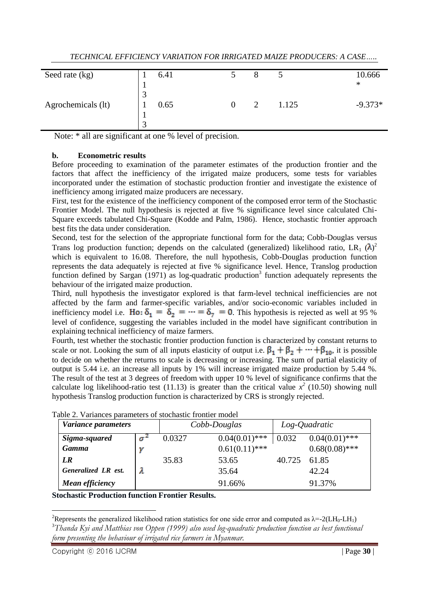| Seed rate (kg)     |               | 6.41 | Õ             |       | 10.666    |
|--------------------|---------------|------|---------------|-------|-----------|
|                    |               |      |               |       | $\ast$    |
|                    | 3             |      |               |       |           |
| Agrochemicals (lt) |               | 0.65 | $\mathcal{D}$ | 1.125 | $-9.373*$ |
|                    | л             |      |               |       |           |
|                    | $\mathcal{R}$ |      |               |       |           |

Note: \* all are significant at one % level of precision.

#### **b. Econometric results**

Before proceeding to examination of the parameter estimates of the production frontier and the factors that affect the inefficiency of the irrigated maize producers, some tests for variables incorporated under the estimation of stochastic production frontier and investigate the existence of inefficiency among irrigated maize producers are necessary.

First, test for the existence of the inefficiency component of the composed error term of the Stochastic Frontier Model. The null hypothesis is rejected at five % significance level since calculated Chi-Square exceeds tabulated Chi-Square (Kodde and Palm, 1986). Hence, stochastic frontier approach best fits the data under consideration.

Second, test for the selection of the appropriate functional form for the data; Cobb-Douglas versus Trans log production function; depends on the calculated (generalized) likelihood ratio, LR<sub>1</sub>  $(\lambda)^2$ which is equivalent to 16.08. Therefore, the null hypothesis, Cobb-Douglas production function represents the data adequately is rejected at five % significance level. Hence, Translog production function defined by Sargan  $(1971)$  as log-quadratic production<sup>3</sup> function adequately represents the behaviour of the irrigated maize production.

Third, null hypothesis the investigator explored is that farm-level technical inefficiencies are not affected by the farm and farmer-specific variables, and/or socio-economic variables included in inefficiency model i.e. Ho:  $\delta_1 = \delta_2 = \cdots = \delta_7 = 0$ . This hypothesis is rejected as well at 95 % level of confidence, suggesting the variables included in the model have significant contribution in explaining technical inefficiency of maize farmers.

Fourth, test whether the stochastic frontier production function is characterized by constant returns to scale or not. Looking the sum of all inputs elasticity of output i.e.  $\beta_1 + \beta_2 + \cdots + \beta_{10}$ , it is possible to decide on whether the returns to scale is decreasing or increasing. The sum of partial elasticity of output is 5.44 i.e. an increase all inputs by 1% will increase irrigated maize production by 5.44 %. The result of the test at 3 degrees of freedom with upper 10 % level of significance confirms that the calculate log likelihood-ratio test (11.13) is greater than the critical value  $x^2$  (10.50) showing null hypothesis Translog production function is characterized by CRS is strongly rejected.

| Variance parameters |   |        | Cobb-Douglas     | Log-Quadratic |                  |
|---------------------|---|--------|------------------|---------------|------------------|
| Sigma-squared       | σ | 0.0327 | $0.04(0.01)$ *** | 0.032         | $0.04(0.01)$ *** |
| <b>Gamma</b>        |   |        | $0.61(0.11)$ *** |               | $0.68(0.08)$ *** |
| LR                  |   | 35.83  | 53.65            | 40.725        | 61.85            |
| Generalized LR est. |   |        | 35.64            |               | 42.24            |
| Mean efficiency     |   |        | 91.66%           |               | 91.37%           |

Table 2. Variances parameters of stochastic frontier model

**Stochastic Production function Frontier Results.**

<u>.</u> <sup>2</sup>Represents the generalized likelihood ration statistics for one side error and computed as  $\lambda = -2(LH_0 - LH_1)$ <sup>3</sup>*Thanda Kyi and Matthias von Oppen (1999) also used log-quadratic production function as best functional form presenting the behaviour of irrigated rice farmers in Myanmar.*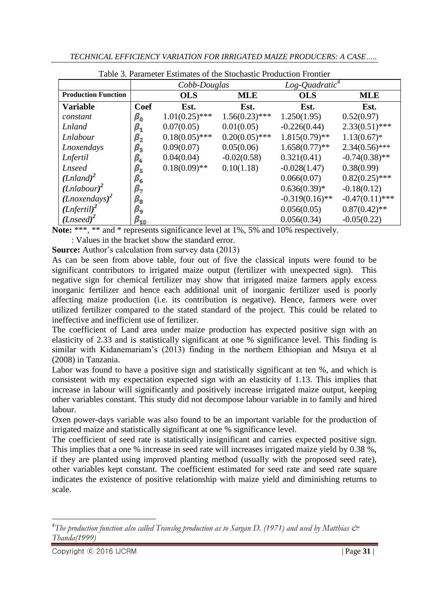|  | TECHNICAL EFFICIENCY VARIATION FOR IRRIGATED MAIZE PRODUCERS: A CASE |
|--|----------------------------------------------------------------------|
|  |                                                                      |

|                            |                      | Cobb-Douglas     |                  | $Log\text{-}Quadratic^4$ |                   |
|----------------------------|----------------------|------------------|------------------|--------------------------|-------------------|
| <b>Production Function</b> |                      | <b>OLS</b>       | <b>MLE</b>       | <b>OLS</b>               | <b>MLE</b>        |
| <b>Variable</b>            | Coef                 | Est.             | Est.             | Est.                     | Est.              |
| constant                   | $\beta_{\mathsf{o}}$ | $1.01(0.25)$ *** | $1.56(0.23)$ *** | 1.250(1.95)              | 0.52(0.97)        |
| <b>Lnland</b>              | $\beta_{\mathtt{1}}$ | 0.07(0.05)       | 0.01(0.05)       | $-0.226(0.44)$           | $2.33(0.51)$ ***  |
| Lnlabour                   | $\beta_{2}$          | $0.18(0.05)$ *** | $0.20(0.05)$ *** | $1.815(0.79)$ **         | $1.13(0.67)$ *    |
| Lnoxendays                 | $\beta_3$            | 0.09(0.07)       | 0.05(0.06)       | $1.658(0.77)$ **         | $2.34(0.56)$ ***  |
| Lnfertil                   | $\beta_4$            | 0.04(0.04)       | $-0.02(0.58)$    | 0.321(0.41)              | $-0.74(0.38)$ **  |
| <b>Lnseed</b>              | $\beta_{5}$          | $0.18(0.09)$ **  | 0.10(1.18)       | $-0.028(1.47)$           | 0.38(0.99)        |
| (Lnland) <sup>2</sup>      | $\beta_{\mathsf{6}}$ |                  |                  | 0.066(0.07)              | $0.82(0.25)$ ***  |
| $(Lnlabour)^2$             | $_{\beta_7}$         |                  |                  | $0.636(0.39)*$           | $-0.18(0.12)$     |
| $(Lnoxendays)^2$           | $\beta_{\mathtt{8}}$ |                  |                  | $-0.319(0.16)$ **        | $-0.47(0.11)$ *** |
| (Lnfertil) <sup>2</sup>    | βg                   |                  |                  | 0.056(0.05)              | $0.87(0.42)$ **   |
| $(Lnseed)^2$               | $\beta_{10}$         |                  |                  | 0.056(0.34)              | $-0.05(0.22)$     |

Table 3. Parameter Estimates of the Stochastic Production Frontier

**Note:** \*\*\*, \*\* and \* represents significance level at 1%, 5% and 10% respectively.

: Values in the bracket show the standard error.

**Source:** Author's calculation from survey data (2013)

As can be seen from above table, four out of five the classical inputs were found to be significant contributors to irrigated maize output (fertilizer with unexpected sign). This negative sign for chemical fertilizer may show that irrigated maize farmers apply excess inorganic fertilizer and hence each additional unit of inorganic fertilizer used is poorly affecting maize production (i.e. its contribution is negative). Hence, farmers were over utilized fertilizer compared to the stated standard of the project. This could be related to ineffective and inefficient use of fertilizer.

The coefficient of Land area under maize production has expected positive sign with an elasticity of 2.33 and is statistically significant at one % significance level. This finding is similar with Kidanemariam"s (2013) finding in the northern Ethiopian and Msuya et al (2008) in Tanzania.

Labor was found to have a positive sign and statistically significant at ten %, and which is consistent with my expectation expected sign with an elasticity of 1.13. This implies that increase in labour will significantly and positively increase irrigated maize output, keeping other variables constant. This study did not decompose labour variable in to family and hired labour.

Oxen power-days variable was also found to be an important variable for the production of irrigated maize and statistically significant at one % significance level.

The coefficient of seed rate is statistically insignificant and carries expected positive sign. This implies that a one % increase in seed rate will increases irrigated maize yield by 0.38 %, if they are planted using improved planting method (usually with the proposed seed rate), other variables kept constant. The coefficient estimated for seed rate and seed rate square indicates the existence of positive relationship with maize yield and diminishing returns to scale.

1

<sup>&</sup>lt;sup>4</sup>*The production function also called Translog production as to Sargan D. (1971) and used by Matthias*  $\ddot{\mathcal{O}}$ *Thanda(1999)*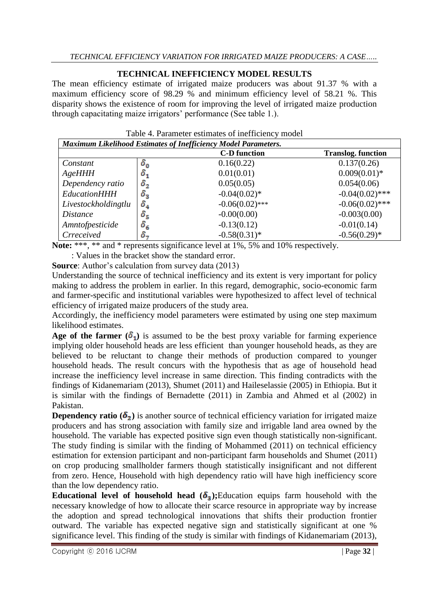## **TECHNICAL INEFFICIENCY MODEL RESULTS**

The mean efficiency estimate of irrigated maize producers was about 91.37 % with a maximum efficiency score of 98.29 % and minimum efficiency level of 58.21 %. This disparity shows the existence of room for improving the level of irrigated maize production through capacitating maize irrigators' performance (See table 1.).

| <b>Maximum Likelihood Estimates of Inefficiency Model Parameters.</b> |                         |                     |                           |  |  |
|-----------------------------------------------------------------------|-------------------------|---------------------|---------------------------|--|--|
|                                                                       |                         | <b>C-D</b> function | <b>Translog.</b> function |  |  |
| Constant                                                              | $\delta_{\mathfrak{o}}$ | 0.16(0.22)          | 0.137(0.26)               |  |  |
| $A$ geHHH                                                             | $\mathbf{o}_{1}$        | 0.01(0.01)          | $0.009(0.01)*$            |  |  |
| Dependency ratio                                                      | $\boldsymbol{\sigma}_2$ | 0.05(0.05)          | 0.054(0.06)               |  |  |
| <b>EducationHHH</b>                                                   | $\sigma_{\rm z}$        | $-0.04(0.02)$ *     | $-0.04(0.02)$ ***         |  |  |
| Livestockholdingtlu                                                   |                         | $-0.06(0.02)$ ***   | $-0.06(0.02)$ ***         |  |  |
| <i>Distance</i>                                                       | $\delta_{\mathsf{s}}$   | $-0.00(0.00)$       | $-0.003(0.00)$            |  |  |
| Amntofpesticide                                                       | $\mathfrak{o}_6$        | $-0.13(0.12)$       | $-0.01(0.14)$             |  |  |
| Crreceived                                                            | ο.,                     | $-0.58(0.31)$ *     | $-0.56(0.29)$ *           |  |  |

Table 4. Parameter estimates of inefficiency model

**Note:** \*\*\*, \*\* and \* represents significance level at 1%, 5% and 10% respectively. : Values in the bracket show the standard error.

**Source**: Author's calculation from survey data (2013)

Understanding the source of technical inefficiency and its extent is very important for policy making to address the problem in earlier. In this regard, demographic, socio-economic farm and farmer-specific and institutional variables were hypothesized to affect level of technical efficiency of irrigated maize producers of the study area.

Accordingly, the inefficiency model parameters were estimated by using one step maximum likelihood estimates.

Age of the farmer  $(\delta_1)$  is assumed to be the best proxy variable for farming experience implying older household heads are less efficient than younger household heads, as they are believed to be reluctant to change their methods of production compared to younger household heads. The result concurs with the hypothesis that as age of household head increase the inefficiency level increase in same direction. This finding contradicts with the findings of Kidanemariam (2013), Shumet (2011) and Haileselassie (2005) in Ethiopia. But it is similar with the findings of Bernadette (2011) in Zambia and Ahmed et al (2002) in Pakistan.

**Dependency ratio**  $(\delta_2)$  **is another source of technical efficiency variation for irrigated maize** producers and has strong association with family size and irrigable land area owned by the household. The variable has expected positive sign even though statistically non-significant. The study finding is similar with the finding of Mohammed (2011) on technical efficiency estimation for extension participant and non-participant farm households and Shumet (2011) on crop producing smallholder farmers though statistically insignificant and not different from zero. Hence, Household with high dependency ratio will have high inefficiency score than the low dependency ratio.

**Educational level of household head**  $(\delta_3)$ **; Education equips farm household with the** necessary knowledge of how to allocate their scarce resource in appropriate way by increase the adoption and spread technological innovations that shifts their production frontier outward. The variable has expected negative sign and statistically significant at one % significance level. This finding of the study is similar with findings of Kidanemariam (2013),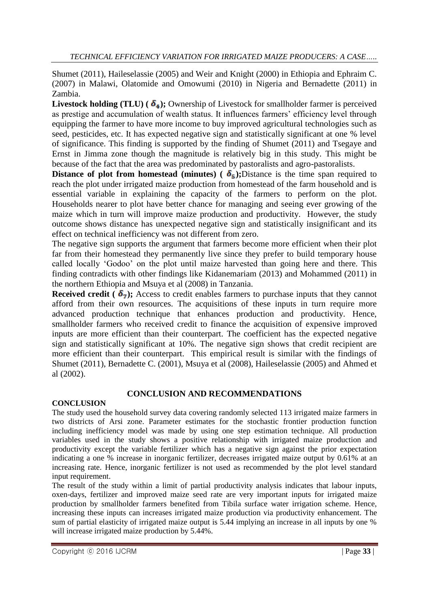Shumet (2011), Haileselassie (2005) and Weir and Knight (2000) in Ethiopia and Ephraim C. (2007) in Malawi, Olatomide and Omowumi (2010) in Nigeria and Bernadette (2011) in Zambia.

**Livestock holding (TLU) (** $\delta_4$ **);** Ownership of Livestock for smallholder farmer is perceived as prestige and accumulation of wealth status. It influences farmers' efficiency level through equipping the farmer to have more income to buy improved agricultural technologies such as seed, pesticides, etc. It has expected negative sign and statistically significant at one % level of significance. This finding is supported by the finding of Shumet (2011) and Tsegaye and Ernst in Jimma zone though the magnitude is relatively big in this study. This might be because of the fact that the area was predominated by pastoralists and agro-pastoralists.

**Distance of plot from homestead (minutes) (** $\delta_5$ **);**Distance is the time span required to reach the plot under irrigated maize production from homestead of the farm household and is essential variable in explaining the capacity of the farmers to perform on the plot. Households nearer to plot have better chance for managing and seeing ever growing of the maize which in turn will improve maize production and productivity. However, the study outcome shows distance has unexpected negative sign and statistically insignificant and its effect on technical inefficiency was not different from zero.

The negative sign supports the argument that farmers become more efficient when their plot far from their homestead they permanently live since they prefer to build temporary house called locally "Godoo" on the plot until maize harvested than going here and there. This finding contradicts with other findings like Kidanemariam (2013) and Mohammed (2011) in the northern Ethiopia and Msuya et al (2008) in Tanzania.

**Received credit (** $\delta_7$ **);** Access to credit enables farmers to purchase inputs that they cannot afford from their own resources. The acquisitions of these inputs in turn require more advanced production technique that enhances production and productivity. Hence, smallholder farmers who received credit to finance the acquisition of expensive improved inputs are more efficient than their counterpart. The coefficient has the expected negative sign and statistically significant at 10%. The negative sign shows that credit recipient are more efficient than their counterpart. This empirical result is similar with the findings of Shumet (2011), Bernadette C. (2001), Msuya et al (2008), Haileselassie (2005) and Ahmed et al (2002).

## **CONCLUSION AND RECOMMENDATIONS**

## **CONCLUSION**

The study used the household survey data covering randomly selected 113 irrigated maize farmers in two districts of Arsi zone. Parameter estimates for the stochastic frontier production function including inefficiency model was made by using one step estimation technique. All production variables used in the study shows a positive relationship with irrigated maize production and productivity except the variable fertilizer which has a negative sign against the prior expectation indicating a one % increase in inorganic fertilizer, decreases irrigated maize output by 0.61% at an increasing rate. Hence, inorganic fertilizer is not used as recommended by the plot level standard input requirement.

The result of the study within a limit of partial productivity analysis indicates that labour inputs, oxen-days, fertilizer and improved maize seed rate are very important inputs for irrigated maize production by smallholder farmers benefited from Tibila surface water irrigation scheme. Hence, increasing these inputs can increases irrigated maize production via productivity enhancement. The sum of partial elasticity of irrigated maize output is 5.44 implying an increase in all inputs by one % will increase irrigated maize production by 5.44%.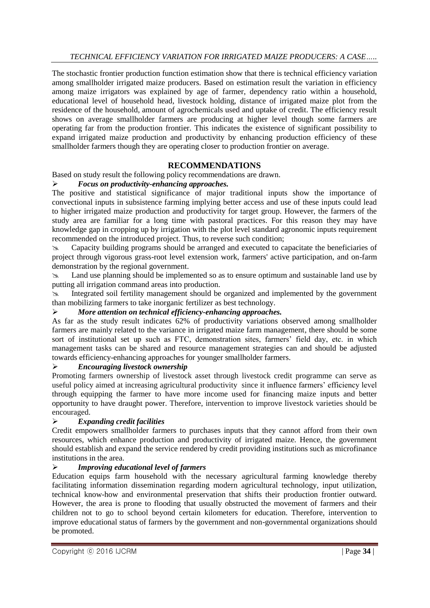The stochastic frontier production function estimation show that there is technical efficiency variation among smallholder irrigated maize producers. Based on estimation result the variation in efficiency among maize irrigators was explained by age of farmer, dependency ratio within a household, educational level of household head, livestock holding, distance of irrigated maize plot from the residence of the household, amount of agrochemicals used and uptake of credit. The efficiency result shows on average smallholder farmers are producing at higher level though some farmers are operating far from the production frontier. This indicates the existence of significant possibility to expand irrigated maize production and productivity by enhancing production efficiency of these smallholder farmers though they are operating closer to production frontier on average.

## **RECOMMENDATIONS**

Based on study result the following policy recommendations are drawn.

## *Focus on productivity-enhancing approaches.*

The positive and statistical significance of major traditional inputs show the importance of convectional inputs in subsistence farming implying better access and use of these inputs could lead to higher irrigated maize production and productivity for target group. However, the farmers of the study area are familiar for a long time with pastoral practices. For this reason they may have knowledge gap in cropping up by irrigation with the plot level standard agronomic inputs requirement recommended on the introduced project. Thus, to reverse such condition;

 Capacity building programs should be arranged and executed to capacitate the beneficiaries of project through vigorous grass-root level extension work, farmers' active participation, and on-farm demonstration by the regional government.

 Land use planning should be implemented so as to ensure optimum and sustainable land use by putting all irrigation command areas into production.

 Integrated soil fertility management should be organized and implemented by the government than mobilizing farmers to take inorganic fertilizer as best technology.

## *More attention on technical efficiency-enhancing approaches.*

As far as the study result indicates 62% of productivity variations observed among smallholder farmers are mainly related to the variance in irrigated maize farm management, there should be some sort of institutional set up such as FTC, demonstration sites, farmers' field day, etc. in which management tasks can be shared and resource management strategies can and should be adjusted towards efficiency-enhancing approaches for younger smallholder farmers.

## *Encouraging livestock ownership*

Promoting farmers ownership of livestock asset through livestock credit programme can serve as useful policy aimed at increasing agricultural productivity since it influence farmers' efficiency level through equipping the farmer to have more income used for financing maize inputs and better opportunity to have draught power. Therefore, intervention to improve livestock varieties should be encouraged.

## *Expanding credit facilities*

Credit empowers smallholder farmers to purchases inputs that they cannot afford from their own resources, which enhance production and productivity of irrigated maize. Hence, the government should establish and expand the service rendered by credit providing institutions such as microfinance institutions in the area.

## *Improving educational level of farmers*

Education equips farm household with the necessary agricultural farming knowledge thereby facilitating information dissemination regarding modern agricultural technology, input utilization, technical know-how and environmental preservation that shifts their production frontier outward. However, the area is prone to flooding that usually obstructed the movement of farmers and their children not to go to school beyond certain kilometers for education. Therefore, intervention to improve educational status of farmers by the government and non-governmental organizations should be promoted.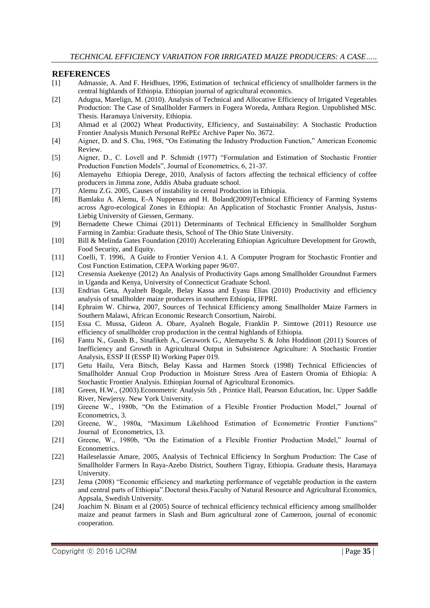#### **REFERENCES**

- [1] Admassie, A. And F. Heidhues, 1996, Estimation of technical efficiency of smallholder farmers in the central highlands of Ethiopia. Ethiopian journal of agricultural economics.
- [2] Adugna, Marelign, M. (2010). Analysis of Technical and Allocative Efficiency of Irrigated Vegetables Production: The Case of Smallholder Farmers in Fogera Woreda, Amhara Region. Unpublished MSc. Thesis. Haramaya University, Ethiopia.
- [3] Ahmad et al (2002) Wheat Productivity, Efficiency, and Sustainability: A Stochastic Production Frontier Analysis Munich Personal RePEc Archive Paper No. 3672.
- [4] Aigner, D. and S. Chu, 1968, "On Estimating the Industry Production Function," American Economic Review.
- [5] Aigner, D., C. Lovell and P. Schmidt (1977) "Formulation and Estimation of Stochastic Frontier Production Function Models", Journal of Econometrics, 6, 21-37.
- [6] Alemayehu Ethiopia Derege, 2010, Analysis of factors affecting the technical efficiency of coffee producers in Jimma zone, Addis Ababa graduate school.
- [7] Alemu Z.G. 2005, Causes of instability in cereal Production in Ethiopia.
- [8] Bamlaku A. Alemu, E-A Nuppenau and H. Boland(2009)Technical Efficiency of Farming Systems across Agro-ecological Zones in Ethiopia: An Application of Stochastic Frontier Analysis, Justus-Liebig University of Giessen, Germany.
- [9] Bernadette Chewe Chimai (2011) Determinants of Technical Efficiency in Smallholder Sorghum Farming in Zambia: Graduate thesis, School of The Ohio State University.
- [10] Bill & Melinda Gates Foundation (2010) Accelerating Ethiopian Agriculture Development for Growth, Food Security, and Equity.
- [11] Coelli, T. 1996, A Guide to Frontier Version 4.1. A Computer Program for Stochastic Frontier and Cost Function Estimation, CEPA Working paper 96/07.
- [12] Cresensia Asekenye (2012) An Analysis of Productivity Gaps among Smallholder Groundnut Farmers in Uganda and Kenya, University of Connecticut Graduate School.
- [13] Endrias Geta, Ayalneh Bogale, Belay Kassa and Eyasu Elias (2010) Productivity and efficiency analysis of smallholder maize producers in southern Ethiopia, IFPRI.
- [14] Ephraim W. Chirwa, 2007, Sources of Technical Efficiency among Smallholder Maize Farmers in Southern Malawi, African Economic Research Consortium, Nairobi.
- [15] Essa C. Mussa, Gideon A. Obare, Ayalneh Bogale, Franklin P. Simtowe (2011) Resource use efficiency of smallholder crop production in the central highlands of Ethiopia.
- [16] Fantu N., Guush B., Sinafikeh A., Gerawork G., Alemayehu S. & John Hoddinott (2011) Sources of Inefficiency and Growth in Agricultural Output in Subsistence Agriculture: A Stochastic Frontier Analysis, ESSP II (ESSP II) Working Paper 019.
- [17] Getu Hailu, Vera Bitsch, Belay Kassa and Harmen Storck (1998) Technical Efficiencies of Smallholder Annual Crop Production in Moisture Stress Area of Eastern Oromia of Ethiopia: A Stochastic Frontier Analysis. Ethiopian Journal of Agricultural Economics.
- [18] Green, H.W., (2003).Econometric Analysis 5th , Printice Hall, Pearson Education, Inc. Upper Saddle River, Newjersy. New York University.
- [19] Greene W., 1980b, "On the Estimation of a Flexible Frontier Production Model," Journal of Econometrics, 3.
- [20] Greene, W., 1980a, "Maximum Likelihood Estimation of Econometric Frontier Functions" Journal of Econometrics, 13.
- [21] Greene, W., 1980b, "On the Estimation of a Flexible Frontier Production Model," Journal of Econometrics.
- [22] Haileselassie Amare, 2005, Analysis of Technical Efficiency In Sorghum Production: The Case of Smallholder Farmers In Raya-Azebo District, Southern Tigray, Ethiopia. Graduate thesis, Haramaya University.
- [23] Jema (2008) "Economic efficiency and marketing performance of vegetable production in the eastern and central parts of Ethiopia".Doctoral thesis.Faculty of Natural Resource and Agricultural Economics, Appsala, Swedish University.
- [24] Joachim N. Binam et al (2005) Source of technical efficiency technical efficiency among smallholder maize and peanut farmers in Slash and Burn agricultural zone of Cameroon, journal of economic cooperation.